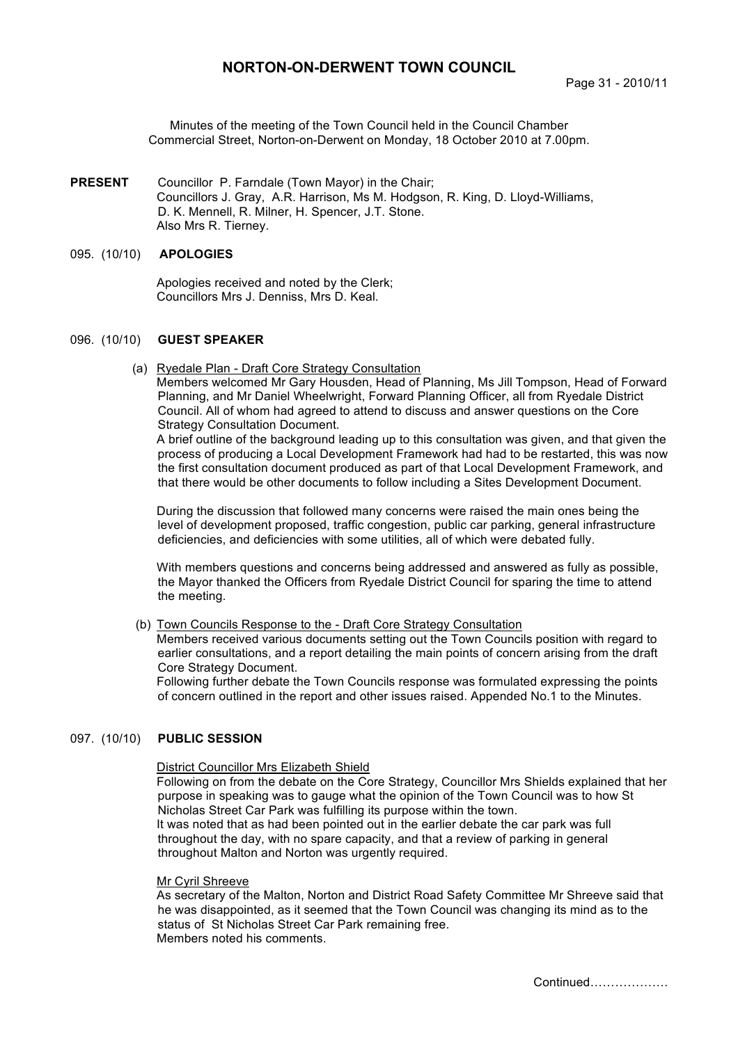# **NORTON-ON-DERWENT TOWN COUNCIL**

Minutes of the meeting of the Town Council held in the Council Chamber Commercial Street, Norton-on-Derwent on Monday, 18 October 2010 at 7.00pm.

**PRESENT** Councillor P. Farndale (Town Mayor) in the Chair; Councillors J. Gray, A.R. Harrison, Ms M. Hodgson, R. King, D. Lloyd-Williams, D. K. Mennell, R. Milner, H. Spencer, J.T. Stone. Also Mrs R. Tierney.

### 095. (10/10) **APOLOGIES**

 Apologies received and noted by the Clerk; Councillors Mrs J. Denniss, Mrs D. Keal.

# 096. (10/10) **GUEST SPEAKER**

(a) Ryedale Plan - Draft Core Strategy Consultation Members welcomed Mr Gary Housden, Head of Planning, Ms Jill Tompson, Head of Forward Planning, and Mr Daniel Wheelwright, Forward Planning Officer, all from Ryedale District Council. All of whom had agreed to attend to discuss and answer questions on the Core Strategy Consultation Document.

A brief outline of the background leading up to this consultation was given, and that given the process of producing a Local Development Framework had had to be restarted, this was now the first consultation document produced as part of that Local Development Framework, and that there would be other documents to follow including a Sites Development Document.

During the discussion that followed many concerns were raised the main ones being the level of development proposed, traffic congestion, public car parking, general infrastructure deficiencies, and deficiencies with some utilities, all of which were debated fully.

With members questions and concerns being addressed and answered as fully as possible, the Mayor thanked the Officers from Ryedale District Council for sparing the time to attend the meeting.

## (b) Town Councils Response to the - Draft Core Strategy Consultation

Members received various documents setting out the Town Councils position with regard to earlier consultations, and a report detailing the main points of concern arising from the draft Core Strategy Document.

Following further debate the Town Councils response was formulated expressing the points of concern outlined in the report and other issues raised. Appended No.1 to the Minutes.

# 097. (10/10) **PUBLIC SESSION**

### District Councillor Mrs Elizabeth Shield

Following on from the debate on the Core Strategy, Councillor Mrs Shields explained that her purpose in speaking was to gauge what the opinion of the Town Council was to how St Nicholas Street Car Park was fulfilling its purpose within the town. It was noted that as had been pointed out in the earlier debate the car park was full throughout the day, with no spare capacity, and that a review of parking in general throughout Malton and Norton was urgently required.

#### Mr Cyril Shreeve

As secretary of the Malton, Norton and District Road Safety Committee Mr Shreeve said that he was disappointed, as it seemed that the Town Council was changing its mind as to the status of St Nicholas Street Car Park remaining free. Members noted his comments.

Continued……………….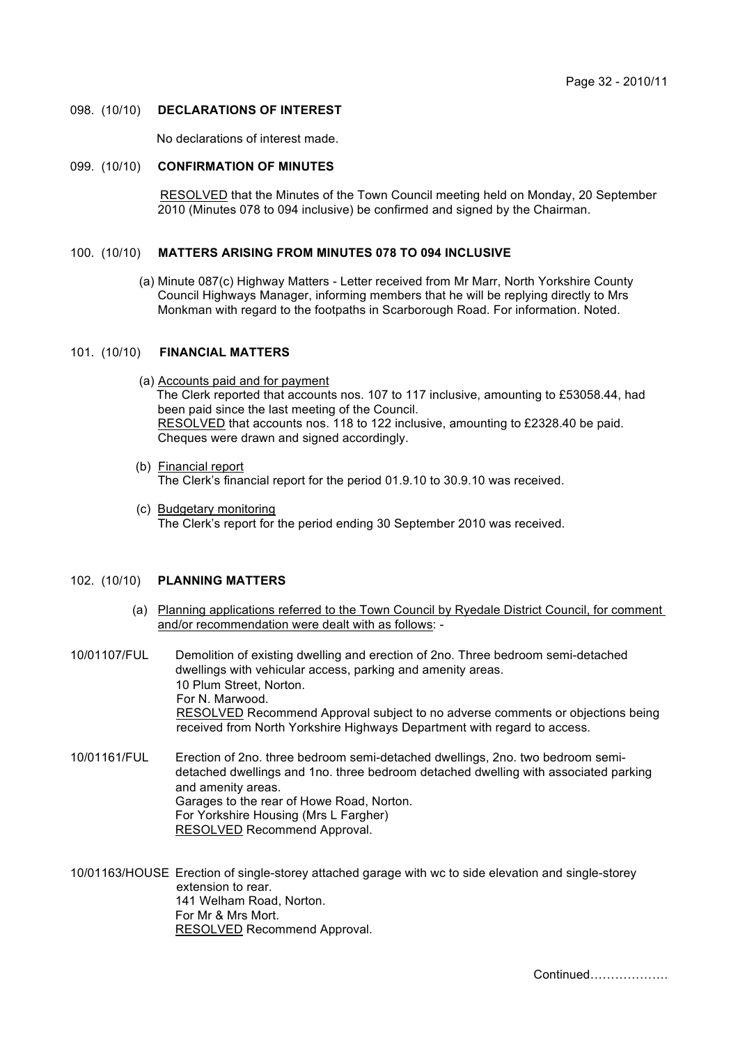### 098. (10/10) **DECLARATIONS OF INTEREST**

No declarations of interest made.

### 099. (10/10) **CONFIRMATION OF MINUTES**

 RESOLVED that the Minutes of the Town Council meeting held on Monday, 20 September 2010 (Minutes 078 to 094 inclusive) be confirmed and signed by the Chairman.

# 100. (10/10) **MATTERS ARISING FROM MINUTES 078 TO 094 INCLUSIVE**

(a) Minute 087(c) Highway Matters - Letter received from Mr Marr, North Yorkshire County Council Highways Manager, informing members that he will be replying directly to Mrs Monkman with regard to the footpaths in Scarborough Road. For information. Noted.

# 101. (10/10) **FINANCIAL MATTERS**

- (a) Accounts paid and for payment The Clerk reported that accounts nos. 107 to 117 inclusive, amounting to £53058.44, had been paid since the last meeting of the Council. RESOLVED that accounts nos. 118 to 122 inclusive, amounting to £2328.40 be paid. Cheques were drawn and signed accordingly.
- (b) Financial report The Clerk's financial report for the period 01.9.10 to 30.9.10 was received.
- (c) Budgetary monitoring The Clerk's report for the period ending 30 September 2010 was received.

## 102. (10/10) **PLANNING MATTERS**

- (a) Planning applications referred to the Town Council by Ryedale District Council, for comment and/or recommendation were dealt with as follows: -
- 10/01107/FUL Demolition of existing dwelling and erection of 2no. Three bedroom semi-detached dwellings with vehicular access, parking and amenity areas. 10 Plum Street, Norton. For N. Marwood. RESOLVED Recommend Approval subject to no adverse comments or objections being received from North Yorkshire Highways Department with regard to access.
- 10/01161/FUL Erection of 2no. three bedroom semi-detached dwellings, 2no. two bedroom semidetached dwellings and 1no. three bedroom detached dwelling with associated parking and amenity areas. Garages to the rear of Howe Road, Norton. For Yorkshire Housing (Mrs L Fargher) RESOLVED Recommend Approval.

10/01163/HOUSE Erection of single-storey attached garage with wc to side elevation and single-storey extension to rear. 141 Welham Road, Norton. For Mr & Mrs Mort. RESOLVED Recommend Approval.

Continued……………….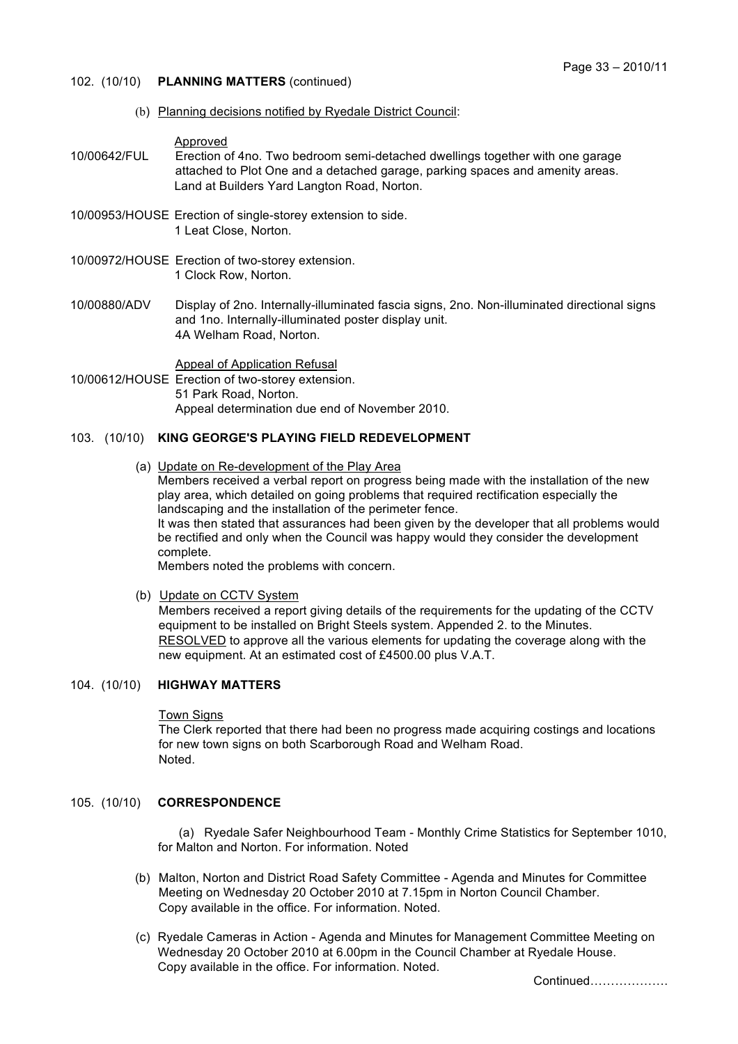- 102. (10/10) **PLANNING MATTERS** (continued)
	- (b) Planning decisions notified by Ryedale District Council:

Approved

- 10/00642/FUL Erection of 4no. Two bedroom semi-detached dwellings together with one garage attached to Plot One and a detached garage, parking spaces and amenity areas. Land at Builders Yard Langton Road, Norton.
- 10/00953/HOUSE Erection of single-storey extension to side. 1 Leat Close, Norton.
- 10/00972/HOUSE Erection of two-storey extension. 1 Clock Row, Norton.
- 10/00880/ADV Display of 2no. Internally-illuminated fascia signs, 2no. Non-illuminated directional signs and 1no. Internally-illuminated poster display unit. 4A Welham Road, Norton.

Appeal of Application Refusal

10/00612/HOUSE Erection of two-storey extension. 51 Park Road, Norton. Appeal determination due end of November 2010.

# 103. (10/10) **KING GEORGE'S PLAYING FIELD REDEVELOPMENT**

(a) Update on Re-development of the Play Area

Members received a verbal report on progress being made with the installation of the new play area, which detailed on going problems that required rectification especially the landscaping and the installation of the perimeter fence. It was then stated that assurances had been given by the developer that all problems would be rectified and only when the Council was happy would they consider the development complete.

Members noted the problems with concern.

(b) Update on CCTV System

Members received a report giving details of the requirements for the updating of the CCTV equipment to be installed on Bright Steels system. Appended 2. to the Minutes. RESOLVED to approve all the various elements for updating the coverage along with the new equipment. At an estimated cost of £4500.00 plus V.A.T.

# 104. (10/10) **HIGHWAY MATTERS**

Town Signs

The Clerk reported that there had been no progress made acquiring costings and locations for new town signs on both Scarborough Road and Welham Road. Noted.

## 105. (10/10) **CORRESPONDENCE**

 (a) Ryedale Safer Neighbourhood Team - Monthly Crime Statistics for September 1010, for Malton and Norton. For information. Noted

- (b) Malton, Norton and District Road Safety Committee Agenda and Minutes for Committee Meeting on Wednesday 20 October 2010 at 7.15pm in Norton Council Chamber. Copy available in the office. For information. Noted.
- (c) Ryedale Cameras in Action Agenda and Minutes for Management Committee Meeting on Wednesday 20 October 2010 at 6.00pm in the Council Chamber at Ryedale House. Copy available in the office. For information. Noted.

Continued……………….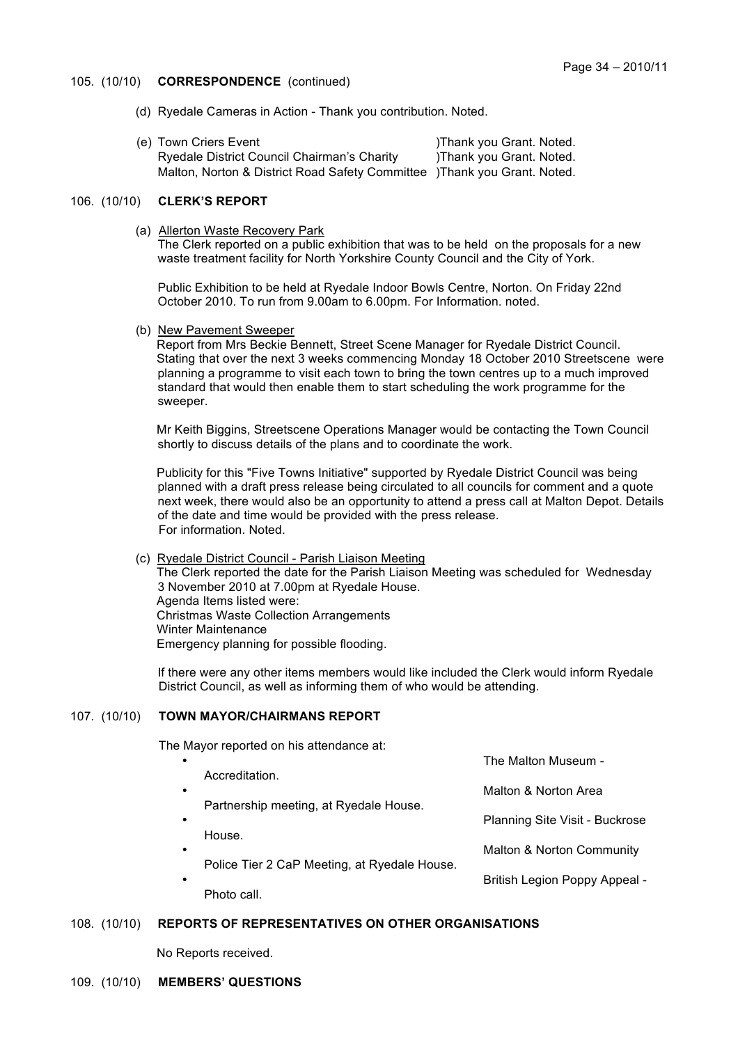# 105. (10/10) **CORRESPONDENCE** (continued)

- (d) Ryedale Cameras in Action Thank you contribution. Noted.
- (e) Town Criers Event (e) Thank you Grant. Noted. Ryedale District Council Chairman's Charity (a) Thank you Grant. Noted. Malton, Norton & District Road Safety Committee )Thank you Grant. Noted.

# 106. (10/10) **CLERK'S REPORT**

(a) Allerton Waste Recovery Park

 The Clerk reported on a public exhibition that was to be held on the proposals for a new waste treatment facility for North Yorkshire County Council and the City of York.

Public Exhibition to be held at Ryedale Indoor Bowls Centre, Norton. On Friday 22nd October 2010. To run from 9.00am to 6.00pm. For Information. noted.

(b) New Pavement Sweeper

Report from Mrs Beckie Bennett, Street Scene Manager for Ryedale District Council. Stating that over the next 3 weeks commencing Monday 18 October 2010 Streetscene were planning a programme to visit each town to bring the town centres up to a much improved standard that would then enable them to start scheduling the work programme for the sweeper.

Mr Keith Biggins, Streetscene Operations Manager would be contacting the Town Council shortly to discuss details of the plans and to coordinate the work.

Publicity for this "Five Towns Initiative" supported by Ryedale District Council was being planned with a draft press release being circulated to all councils for comment and a quote next week, there would also be an opportunity to attend a press call at Malton Depot. Details of the date and time would be provided with the press release. For information. Noted.

(c) Ryedale District Council - Parish Liaison Meeting

The Clerk reported the date for the Parish Liaison Meeting was scheduled for Wednesday 3 November 2010 at 7.00pm at Ryedale House. Agenda Items listed were: Christmas Waste Collection Arrangements Winter Maintenance Emergency planning for possible flooding.

If there were any other items members would like included the Clerk would inform Ryedale District Council, as well as informing them of who would be attending.

## 107. (10/10) **TOWN MAYOR/CHAIRMANS REPORT**

The Mayor reported on his attendance at:

| $\bullet$ |                                              | The Malton Museum -            |
|-----------|----------------------------------------------|--------------------------------|
| $\bullet$ | Accreditation.                               | Malton & Norton Area           |
| $\bullet$ | Partnership meeting, at Ryedale House.       | Planning Site Visit - Buckrose |
| $\bullet$ | House.                                       | Malton & Norton Community      |
| ٠         | Police Tier 2 CaP Meeting, at Ryedale House. | British Legion Poppy Appeal -  |
|           | Photo call.                                  |                                |

## 108. (10/10) **REPORTS OF REPRESENTATIVES ON OTHER ORGANISATIONS**

No Reports received.

## 109. (10/10) **MEMBERS' QUESTIONS**